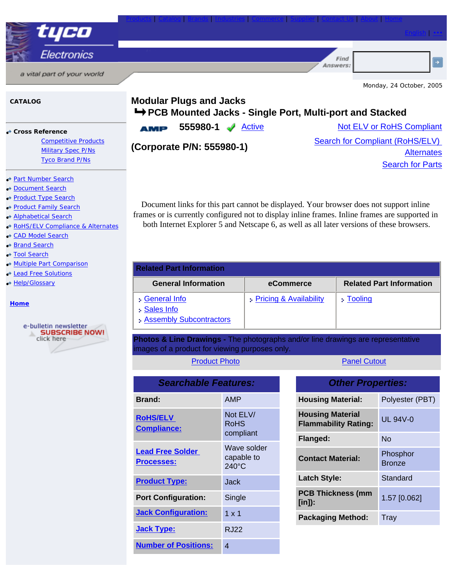

## **CATALOG**

● **Cross Reference** 

Competitive Products Military Spec P/Ns Tyco Brand P/Ns

## **Part Number Search**

- **Document Search**
- ●Product Type Search
- **Product Family Search**
- **Alphabetical Search**
- ●RoHS/ELV Compliance & Alternates
- ●CAD Model Search
- ●Brand Search
- ●Tool Search
- ●Multiple Part Comparison
- ●Lead Free Solutions
- ●Help/Glossary

## **Home**



| <b>Modular Plugs and Jacks</b>                            |  |
|-----------------------------------------------------------|--|
| → PCB Mounted Jacks - Single Port, Multi-port and Stacked |  |

**AMP** 

**555980-1** Active Not ELV or RoHS Compliant

**(Corporate P/N: 555980-1)** Search for Compliant (RoHS/ELV) **Alternates Search for Parts** 

Document links for this part cannot be displayed. Your browser does not support inline frames or is currently configured not to display inline frames. Inline frames are supported in both Internet Explorer 5 and Netscape 6, as well as all later versions of these browsers.

| <b>Related Part Information</b>                         |                                   |                                 |
|---------------------------------------------------------|-----------------------------------|---------------------------------|
| <b>General Information</b>                              | eCommerce                         | <b>Related Part Information</b> |
| General Info<br>Sales Info<br>: Assembly Subcontractors | <b>Pricing &amp; Availability</b> | $\frac{1}{2}$ Tooling           |

**Photos & Line Drawings -** The photographs and/or line drawings are representative images of a product for viewing purposes only.

| <b>Product Photo</b> |
|----------------------|
|----------------------|

**Panel Cutout** 

| <b>Searchable Features:</b>                  |                                              |  |
|----------------------------------------------|----------------------------------------------|--|
| <b>Brand:</b>                                | AMP                                          |  |
| <b>RoHS/ELV</b><br><b>Compliance:</b>        | Not ELV/<br><b>RoHS</b><br>compliant         |  |
| <b>Lead Free Solder</b><br><b>Processes:</b> | Wave solder<br>capable to<br>$240^{\circ}$ C |  |
| <b>Product Type:</b>                         | Jack                                         |  |
| <b>Port Configuration:</b>                   | Single                                       |  |
| <b>Jack Configuration:</b>                   | $1 \times 1$                                 |  |
| <b>Jack Type:</b>                            | RJ22                                         |  |
| <b>Number of Positions:</b>                  | 4                                            |  |

| <b>Other Properties:</b>                               |                           |  |
|--------------------------------------------------------|---------------------------|--|
| <b>Housing Material:</b>                               | Polyester (PBT)           |  |
| <b>Housing Material</b><br><b>Flammability Rating:</b> | UL $94V-0$                |  |
| Flanged:                                               | No                        |  |
| <b>Contact Material:</b>                               | Phosphor<br><b>Bronze</b> |  |
| <b>Latch Style:</b>                                    | Standard                  |  |
| <b>PCB Thickness (mm</b><br>[in]):                     | 1.57 [0.062]              |  |
| <b>Packaging Method:</b>                               | Tray                      |  |